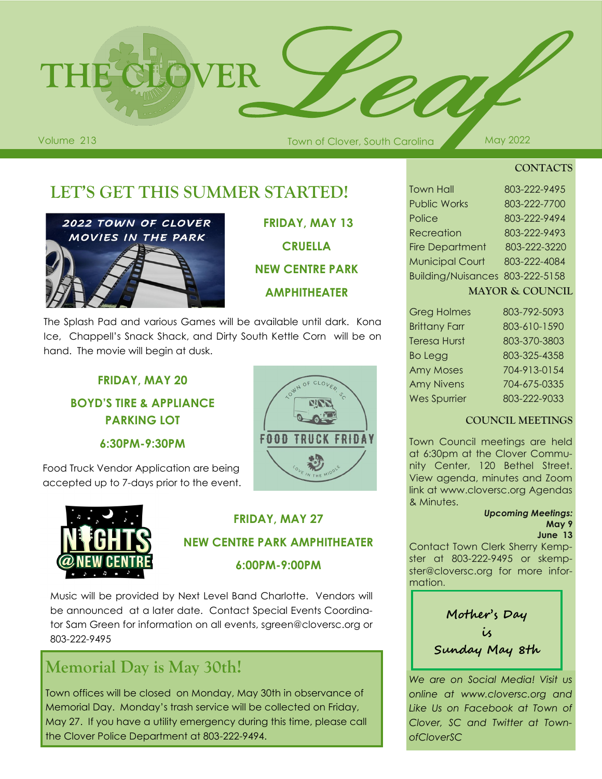

Volume 213 May 2022 March 2014 Town of Clover, South Carolina May 2022

**CONTACTS**

# **LET'S GET THIS SUMMER STARTED!**



**FRIDAY, MAY 13 CRUELLA NEW CENTRE PARK AMPHITHEATER**

The Splash Pad and various Games will be available until dark. Kona Ice, Chappell's Snack Shack, and Dirty South Kettle Corn will be on hand. The movie will begin at dusk.

#### **FRIDAY, MAY 20 BOYD'S TIRE & APPLIANCE PARKING LOT**

**6:30PM-9:30PM**

Food Truck Vendor Application are being accepted up to 7-days prior to the event.



# **FRIDAY, MAY 27**

#### **NEW CENTRE PARK AMPHITHEATER**

**6:00PM-9:00PM**

Music will be provided by Next Level Band Charlotte. Vendors will be announced at a later date. Contact Special Events Coordinator Sam Green for information on all events, sgreen@cloversc.org or 803-222-9495

# **Memorial Day is May 30th!**

Town offices will be closed on Monday, May 30th in observance of Memorial Day. Monday's trash service will be collected on Friday, May 27. If you have a utility emergency during this time, please call the Clover Police Department at 803-222-9494.

| LOWN OF CLOVER SO        |
|--------------------------|
| <b>FOOD TRUCK FRIDAY</b> |
| MIDDLE<br>LOVE IN<br>HE  |

| <b>Recreation</b>               | 803-222-9493 |  |
|---------------------------------|--------------|--|
| <b>Fire Department</b>          | 803-222-3220 |  |
| <b>Municipal Court</b>          | 803-222-4084 |  |
| Building/Nuisances 803-222-5158 |              |  |
| <b>MAYOR &amp; COUNCIL</b>      |              |  |
| <b>Greg Holmes</b>              | 803-792-5093 |  |

Town Hall 803-222-9495 Public Works 803-222-7700 Police 803-222-9494

| <b>POLITION</b>      | <u>000-772-0070</u> |
|----------------------|---------------------|
| <b>Brittany Farr</b> | 803-610-1590        |
| <b>Teresa Hurst</b>  | 803-370-3803        |
| Bo Legg              | 803-325-4358        |
| <b>Amy Moses</b>     | 704-913-0154        |
| <b>Amy Nivens</b>    | 704-675-0335        |
| <b>Wes Spurrier</b>  | 803-222-9033        |

#### **COUNCIL MEETINGS**

Town Council meetings are held at 6:30pm at the Clover Community Center, 120 Bethel Street. View agenda, minutes and Zoom link at www.cloversc.org Agendas & Minutes.

#### *Upcoming Meetings:* **May 9**

**June 13**

Contact Town Clerk Sherry Kempster at 803-222-9495 or skempster@cloversc.org for more information.

**Mother's Day is Sunday May 8th**

*We are on Social Media! Visit us online at www.cloversc.org and Like Us on Facebook at Town of Clover, SC and Twitter at TownofCloverSC*